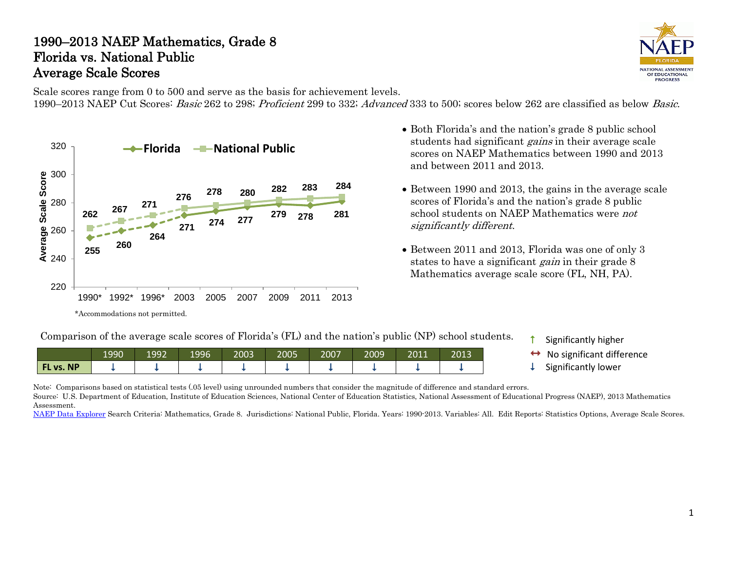#### 1990–2013 NAEP Mathematics, Grade 8 Florida vs. National Public Average Scale Scores



Scale scores range from 0 to 500 and serve as the basis for achievement levels. 1990–2013 NAEP Cut Scores: Basic 262 to 298; Proficient 299 to 332; Advanced 333 to 500; scores below 262 are classified as below Basic.



- Both Florida's and the nation's grade 8 public school students had significant *gains* in their average scale scores on NAEP Mathematics between 1990 and 2013 and between 2011 and 2013.
- Between 1990 and 2013, the gains in the average scale scores of Florida's and the nation's grade 8 public school students on NAEP Mathematics were not significantly different.
- Between 2011 and 2013, Florida was one of only 3 states to have a significant *gain* in their grade 8 Mathematics average scale score (FL, NH, PA).

Comparison of the average scale scores of Florida's (FL) and the nation's public (NP) school students.

|           | 1990 | 1992 | 1996 | 2003 | 2005 | 2007 | 2009 | 2011 | 2013 |
|-----------|------|------|------|------|------|------|------|------|------|
| FL vs. NP |      |      |      |      |      |      |      |      |      |

- Significantly higher
- No significant difference Significantly lower
- 

Note: Comparisons based on statistical tests (.05 level) using unrounded numbers that consider the magnitude of difference and standard errors.

Source: U.S. Department of Education, Institute of Education Sciences, National Center of Education Statistics, National Assessment of Educational Progress (NAEP), 2013 Mathematics Assessment.

[NAEP Data Explorer](http://nces.ed.gov/nationsreportcard/naepdata/) Search Criteria: Mathematics, Grade 8. Jurisdictions: National Public, Florida. Years: 1990-2013. Variables: All. Edit Reports: Statistics Options, Average Scale Scores.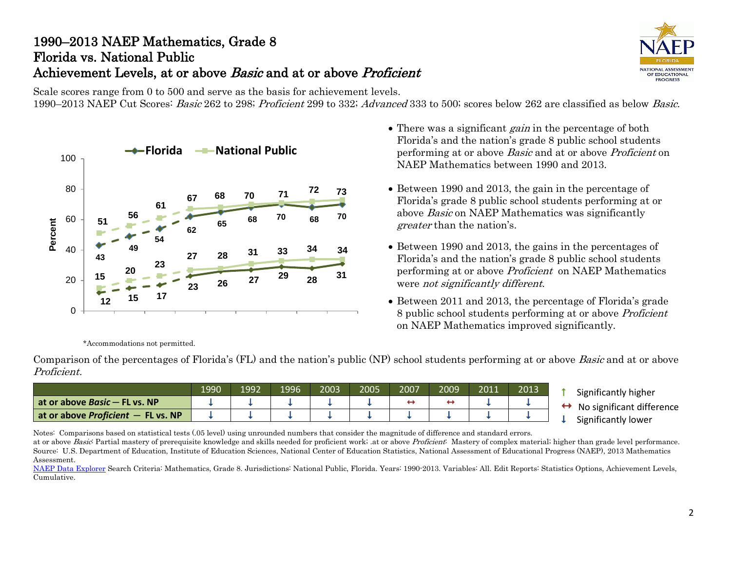# 1990–2013 NAEP Mathematics, Grade 8 Florida vs. National Public Achievement Levels, at or above *Basic* and at or above *Proficient*



Scale scores range from 0 to 500 and serve as the basis for achievement levels.

1990–2013 NAEP Cut Scores: Basic 262 to 298; Proficient 299 to 332; Advanced 333 to 500; scores below 262 are classified as below Basic.



- There was a significant *gain* in the percentage of both Florida's and the nation's grade 8 public school students performing at or above Basic and at or above Proficient on NAEP Mathematics between 1990 and 2013.
- Between 1990 and 2013, the gain in the percentage of Florida's grade 8 public school students performing at or above Basic on NAEP Mathematics was significantly greater than the nation's.
- Between 1990 and 2013, the gains in the percentages of Florida's and the nation's grade 8 public school students performing at or above Proficient on NAEP Mathematics were not significantly different.
- Between 2011 and 2013, the percentage of Florida's grade 8 public school students performing at or above Proficient on NAEP Mathematics improved significantly.

\*Accommodations not permitted.

Comparison of the percentages of Florida's (FL) and the nation's public (NP) school students performing at or above *Basic* and at or above Proficient.

|                                      | 1990 | 1992 | 1996 | 2003 | 2005 | 2007 | 2009 | 2011 | 2013 |
|--------------------------------------|------|------|------|------|------|------|------|------|------|
| at or above <i>Basic</i> – FL vs. NP |      |      |      |      |      |      |      |      |      |
| at or above Proficient $-$ FL vs. NP |      |      |      |      |      |      |      |      |      |

- **1** Significantly higher
- $\leftrightarrow$  No significant difference<br>  $\downarrow$  Significantly lower

Notes: Comparisons based on statistical tests (.05 level) using unrounded numbers that consider the magnitude of difference and standard errors.

at or above Basic: Partial mastery of prerequisite knowledge and skills needed for proficient work; at or above Proficient: Mastery of complex material; higher than grade level performance. Source: U.S. Department of Education, Institute of Education Sciences, National Center of Education Statistics, National Assessment of Educational Progress (NAEP), 2013 Mathematics Assessment.

[NAEP Data Explorer](http://nces.ed.gov/nationsreportcard/naepdata/) Search Criteria: Mathematics, Grade 8. Jurisdictions: National Public, Florida. Years: 1990-2013. Variables: All. Edit Reports: Statistics Options, Achievement Levels, Cumulative.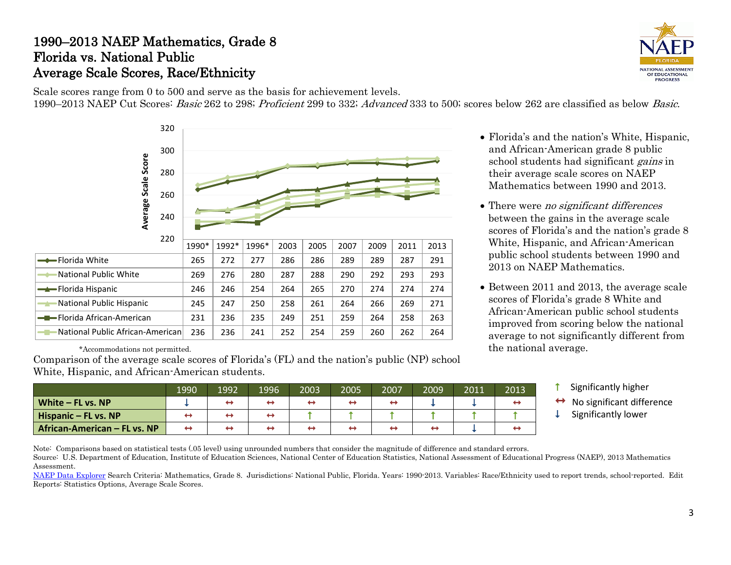### 1990–2013 NAEP Mathematics, Grade 8 Florida vs. National Public Average Scale Scores, Race/Ethnicity



Scale scores range from 0 to 500 and serve as the basis for achievement levels. 1990–2013 NAEP Cut Scores: Basic 262 to 298; Proficient 299 to 332; Advanced 333 to 500; scores below 262 are classified as below Basic.



\*Accommodations not permitted.

Comparison of the average scale scores of Florida's (FL) and the nation's public (NP) school White, Hispanic, and African-American students.

1990 1992 1996 2003 2005 2007 2009 2011 2013 **White – FL vs. NP**  $\downarrow$   $\downarrow$   $\rightarrow$   $\rightarrow$   $\rightarrow$   $\rightarrow$   $\rightarrow$   $\rightarrow$   $\rightarrow$   $\downarrow$   $\downarrow$   $\downarrow$   $\rightarrow$ **Hispanic – FL vs. NP**  $\rightarrow$   $\rightarrow$   $\rightarrow$   $\rightarrow$   $\rightarrow$   $\rightarrow$   $\rightarrow$   $\uparrow$   $\uparrow$   $\uparrow$   $\uparrow$   $\uparrow$   $\uparrow$   $\uparrow$   $\uparrow$   $\uparrow$   $\uparrow$   $\uparrow$   $\uparrow$   $\uparrow$ **African-American – FL vs. NP** T

- Florida's and the nation's White, Hispanic, and African-American grade 8 public school students had significant *gains* in their average scale scores on NAEP Mathematics between 1990 and 2013.
- There were *no significant differences* between the gains in the average scale scores of Florida's and the nation's grade 8 White, Hispanic, and African-American public school students between 1990 and 2013 on NAEP Mathematics.
- Between 2011 and 2013, the average scale scores of Florida's grade 8 White and African-American public school students improved from scoring below the national average to not significantly different from the national average.
	- $\uparrow$  Significantly higher
	- $\leftrightarrow$  No significant difference<br>  $\downarrow$  Significantly lower
	-

Note: Comparisons based on statistical tests (.05 level) using unrounded numbers that consider the magnitude of difference and standard errors. Source: U.S. Department of Education, Institute of Education Sciences, National Center of Education Statistics, National Assessment of Educational Progress (NAEP), 2013 Mathematics

Assessment. [NAEP Data Explorer](http://nces.ed.gov/nationsreportcard/naepdata/) Search Criteria: Mathematics, Grade 8. Jurisdictions: National Public, Florida. Years: 1990-2013. Variables: Race/Ethnicity used to report trends, school-reported. Edit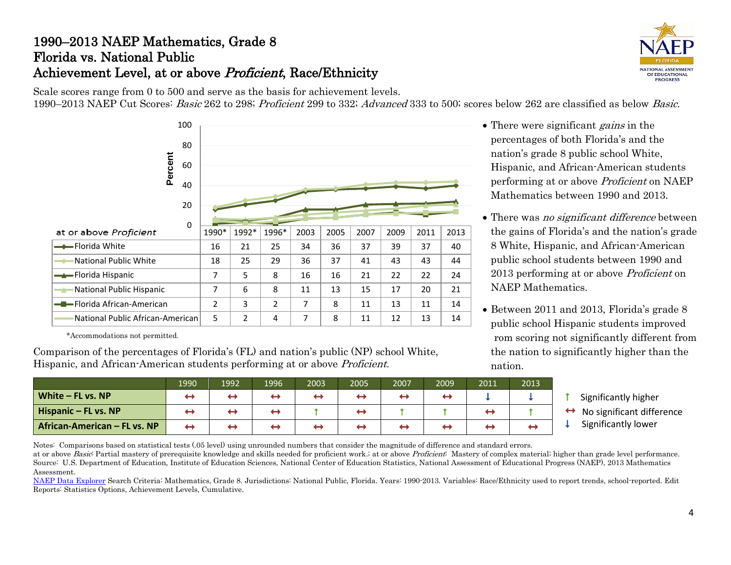# 1990–2013 NAEP Mathematics, Grade 8 Florida vs. National Public Achievement Level, at or above Proficient, Race/Ethnicity



Scale scores range from 0 to 500 and serve as the basis for achievement levels. 1990–2013 NAEP Cut Scores: Basic 262 to 298; Proficient 299 to 332; Advanced 333 to 500; scores below 262 are classified as below Basic.



\*Accommodations not permitted. f

Comparison of the percentages of Florida's (FL) and nation's public (NP) school White, Hispanic, and African-American students performing at or above Proficient.

 $\leftrightarrow$ 

- There were significant *gains* in the percentages of both Florida's and the nation's grade 8 public school White, Hispanic, and African-American students performing at or above Proficient on NAEP Mathematics between 1990 and 2013.
- There was *no significant difference* between the gains of Florida's and the nation's grade 8 White, Hispanic, and African-American public school students between 1990 and 2013 performing at or above Proficient on NAEP Mathematics.
- Between 2011 and 2013, Florida's grade 8 public school Hispanic students improved rom scoring not significantly different from the nation to significantly higher than the nation.

|  | Significantly higher |  |
|--|----------------------|--|
|--|----------------------|--|

- $\leftrightarrow$  No significant difference<br>  $\downarrow$  Significantly lower
	-

**African-American – FL vs. NP** Notes: Comparisons based on statistical tests (.05 level) using unrounded numbers that consider the magnitude of difference and standard errors. at or above Basic: Partial mastery of prerequisite knowledge and skills needed for proficient work.; at or above Proficient: Mastery of complex material; higher than grade level performance.

**White – FL vs. NP Hispanic – FL vs. NP**  $\rightarrow$   $\rightarrow$   $\rightarrow$   $\rightarrow$   $\rightarrow$   $\rightarrow$   $\rightarrow$   $\uparrow$   $\rightarrow$   $\uparrow$   $\uparrow$   $\uparrow$   $\rightarrow$   $\uparrow$   $\rightarrow$   $\uparrow$   $\uparrow$   $\rightarrow$   $\uparrow$   $\uparrow$   $\rightarrow$   $\uparrow$   $\uparrow$   $\uparrow$   $\uparrow$   $\uparrow$   $\uparrow$   $\uparrow$   $\uparrow$   $\uparrow$   $\uparrow$   $\uparrow$   $\uparrow$   $\uparrow$   $\uparrow$ 

Source: U.S. Department of Education, Institute of Education Sciences, National Center of Education Statistics, National Assessment of Educational Progress (NAEP), 2013 Mathematics Assessment.

1990 1992 1996 2003 2005 2007 2009 2011 2013

[NAEP Data Explorer](http://nces.ed.gov/nationsreportcard/naepdata/) Search Criteria: Mathematics, Grade 8. Jurisdictions: National Public, Florida. Years: 1990-2013. Variables: Race/Ethnicity used to report trends, school-reported. Edit Reports: Statistics Options, Achievement Levels, Cumulative.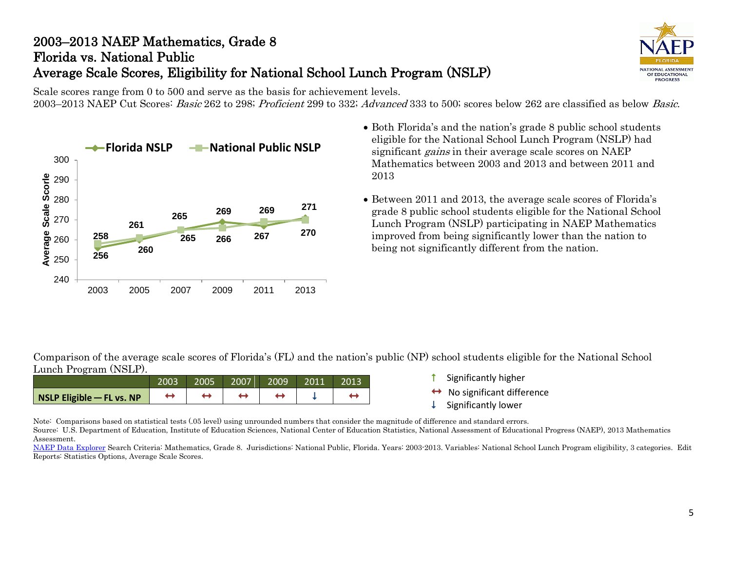# 2003–2013 NAEP Mathematics, Grade 8 Florida vs. National Public Average Scale Scores, Eligibility for National School Lunch Program (NSLP)



Scale scores range from 0 to 500 and serve as the basis for achievement levels. 2003–2013 NAEP Cut Scores: Basic 262 to 298; Proficient 299 to 332; Advanced 333 to 500; scores below 262 are classified as below Basic.



- Both Florida's and the nation's grade 8 public school students eligible for the National School Lunch Program (NSLP) had significant *gains* in their average scale scores on NAEP Mathematics between 2003 and 2013 and between 2011 and 2013
- Between 2011 and 2013, the average scale scores of Florida's grade 8 public school students eligible for the National School Lunch Program (NSLP) participating in NAEP Mathematics improved from being significantly lower than the nation to being not significantly different from the nation.

Comparison of the average scale scores of Florida's (FL) and the nation's public (NP) school students eligible for the National School Lunch Program (NSLP).

|                           | 2003 | 2005' | 2007 | 2009' | 2011 | 2013 |
|---------------------------|------|-------|------|-------|------|------|
| NSLP Eligible - FL vs. NP |      |       |      |       |      |      |

- Significantly higher
- $\leftrightarrow$  No significant difference<br>  $\downarrow$  Significantly lower
- 

Note: Comparisons based on statistical tests (.05 level) using unrounded numbers that consider the magnitude of difference and standard errors. Source: U.S. Department of Education, Institute of Education Sciences, National Center of Education Statistics, National Assessment of Educational Progress (NAEP), 2013 Mathematics Assessment.

[NAEP Data Explorer](http://nces.ed.gov/nationsreportcard/naepdata/) Search Criteria: Mathematics, Grade 8. Jurisdictions: National Public, Florida. Years: 2003-2013. Variables: National School Lunch Program eligibility, 3 categories. Edit Reports: Statistics Options, Average Scale Scores.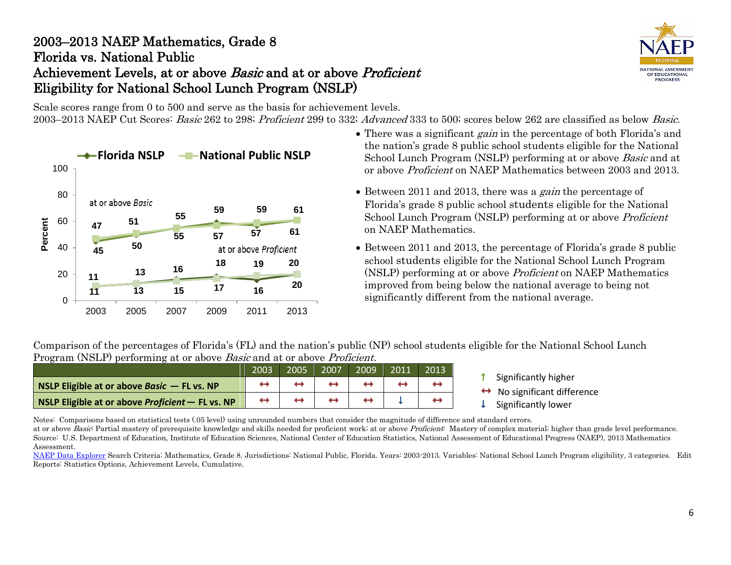### 2003–2013 NAEP Mathematics, Grade 8 Florida vs. National Public Achievement Levels, at or above Basic and at or above Proficient Eligibility for National School Lunch Program (NSLP)

NATIONAL ASSESSMENT OF EDUCATIONAL **PROGRESS** 

Scale scores range from 0 to 500 and serve as the basis for achievement levels. 2003–2013 NAEP Cut Scores: Basic 262 to 298; Proficient 299 to 332; Advanced 333 to 500; scores below 262 are classified as below Basic.



- There was a significant *gain* in the percentage of both Florida's and the nation's grade 8 public school students eligible for the National School Lunch Program (NSLP) performing at or above Basic and at or above Proficient on NAEP Mathematics between 2003 and 2013.
- Between 2011 and 2013, there was a *gain* the percentage of Florida's grade 8 public school students eligible for the National School Lunch Program (NSLP) performing at or above Proficient on NAEP Mathematics.
- Between 2011 and 2013, the percentage of Florida's grade 8 public school students eligible for the National School Lunch Program (NSLP) performing at or above Proficient on NAEP Mathematics improved from being below the national average to being not significantly different from the national average.

Comparison of the percentages of Florida's (FL) and the nation's public (NP) school students eligible for the National School Lunch Program (NSLP) performing at or above *Basic* and at or above *Proficient*.

|                                                    | 2003 | 2005 | 2007 | 2009 | 2013 |                                                        |
|----------------------------------------------------|------|------|------|------|------|--------------------------------------------------------|
| NSLP Eligible at or above Basic $-$ FL vs. NP      |      |      |      |      |      | Significantly higher<br>No significant difference<br>↔ |
| NSLP Eligible at or above Proficient $-$ FL vs. NP |      |      |      |      |      | Significantly lower                                    |

Notes: Comparisons based on statistical tests (.05 level) using unrounded numbers that consider the magnitude of difference and standard errors. at or above Basic Partial mastery of prerequisite knowledge and skills needed for proficient work; at or above Proficient: Mastery of complex material; higher than grade level performance. Source: U.S. Department of Education, Institute of Education Sciences, National Center of Education Statistics, National Assessment of Educational Progress (NAEP), 2013 Mathematics

Assessment. [NAEP Data Explorer](http://nces.ed.gov/nationsreportcard/naepdata/) Search Criteria: Mathematics, Grade 8. Jurisdictions: National Public, Florida. Years: 2003-2013. Variables: National School Lunch Program eligibility, 3 categories. Edit Reports: Statistics Options, Achievement Levels, Cumulative.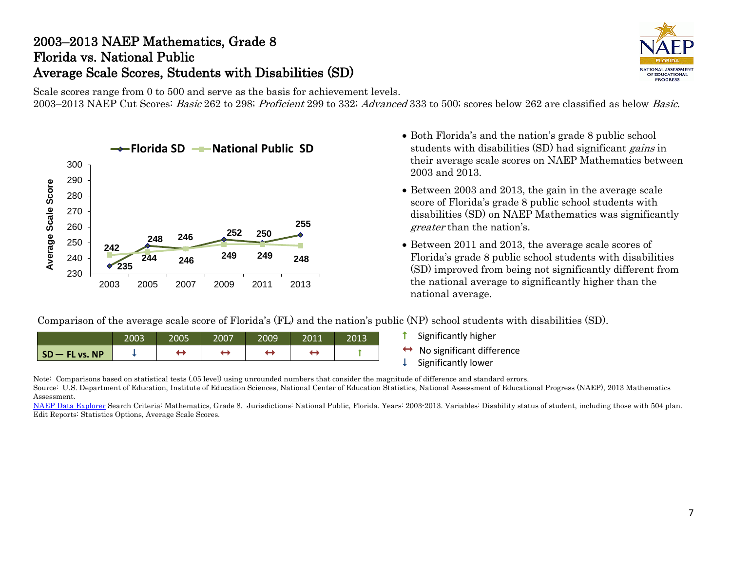### 2003–2013 NAEP Mathematics, Grade 8 Florida vs. National Public Average Scale Scores, Students with Disabilities (SD)



Scale scores range from 0 to 500 and serve as the basis for achievement levels. 2003–2013 NAEP Cut Scores: Basic 262 to 298; Proficient 299 to 332; Advanced 333 to 500; scores below 262 are classified as below Basic.



- Both Florida's and the nation's grade 8 public school students with disabilities (SD) had significant *gains* in their average scale scores on NAEP Mathematics between 2003 and 2013.
- Between 2003 and 2013, the gain in the average scale score of Florida's grade 8 public school students with disabilities (SD) on NAEP Mathematics was significantly greater than the nation's.
- Between 2011 and 2013, the average scale scores of Florida's grade 8 public school students with disabilities (SD) improved from being not significantly different from the national average to significantly higher than the national average.

Comparison of the average scale score of Florida's (FL) and the nation's public (NP) school students with disabilities (SD).

|                  | 2003 | 2005 | 2007 | 2009 | 2011 | 2013 |
|------------------|------|------|------|------|------|------|
| $SO - FL$ vs. NP |      |      |      |      |      |      |

- $\uparrow$  Significantly higher
- $\leftrightarrow$  No significant difference<br>  $\downarrow$  Significantly lower
- 

Note: Comparisons based on statistical tests (.05 level) using unrounded numbers that consider the magnitude of difference and standard errors.

Source: U.S. Department of Education, Institute of Education Sciences, National Center of Education Statistics, National Assessment of Educational Progress (NAEP), 2013 Mathematics Assessment.

[NAEP Data Explorer](http://nces.ed.gov/nationsreportcard/naepdata/) Search Criteria: Mathematics, Grade 8. Jurisdictions: National Public, Florida. Years: 2003-2013. Variables: Disability status of student, including those with 504 plan. Edit Reports: Statistics Options, Average Scale Scores.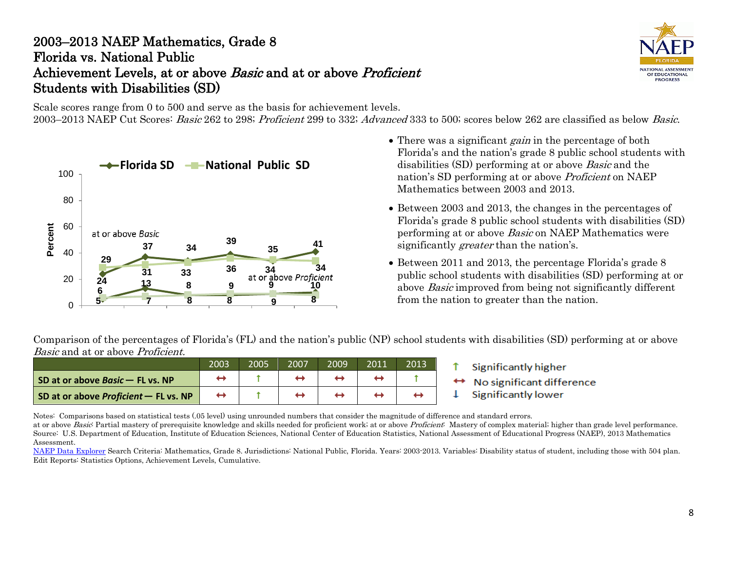### 2003–2013 NAEP Mathematics, Grade 8 Florida vs. National Public Achievement Levels, at or above Basic and at or above Proficient Students with Disabilities (SD)

NATIONAL ASSESSMENT OF EDUCATIONAL **PROGRESS** 

Scale scores range from 0 to 500 and serve as the basis for achievement levels.

2003–2013 NAEP Cut Scores: Basic 262 to 298; Proficient 299 to 332; Advanced 333 to 500; scores below 262 are classified as below Basic.



- There was a significant *gain* in the percentage of both Florida's and the nation's grade 8 public school students with disabilities (SD) performing at or above Basic and the nation's SD performing at or above Proficient on NAEP Mathematics between 2003 and 2013.
- Between 2003 and 2013, the changes in the percentages of Florida's grade 8 public school students with disabilities (SD) performing at or above Basic on NAEP Mathematics were significantly *greater* than the nation's.
- Between 2011 and 2013, the percentage Florida's grade 8 public school students with disabilities (SD) performing at or above Basic improved from being not significantly different from the nation to greater than the nation.

Comparison of the percentages of Florida's (FL) and the nation's public (NP) school students with disabilities (SD) performing at or above Basic and at or above Proficient.

|                                              | 2003              | 2005 | 2007 | 2009 | 2011 | 2013 |
|----------------------------------------------|-------------------|------|------|------|------|------|
| SD at or above Basic - FL vs. NP             |                   |      |      |      |      |      |
| SD at or above <i>Proficient</i> – FL vs. NP | $\leftrightarrow$ |      |      |      |      |      |

- Significantly higher
- No significant difference
- Significantly lower T

Notes: Comparisons based on statistical tests (.05 level) using unrounded numbers that consider the magnitude of difference and standard errors. at or above Basic: Partial mastery of prerequisite knowledge and skills needed for proficient work; at or above Proficient: Mastery of complex material; higher than grade level performance. Source: U.S. Department of Education, Institute of Education Sciences, National Center of Education Statistics, National Assessment of Educational Progress (NAEP), 2013 Mathematics

Assessment.

[NAEP Data Explorer](http://nces.ed.gov/nationsreportcard/naepdata/) Search Criteria: Mathematics, Grade 8. Jurisdictions: National Public, Florida. Years: 2003-2013. Variables: Disability status of student, including those with 504 plan. Edit Reports: Statistics Options, Achievement Levels, Cumulative.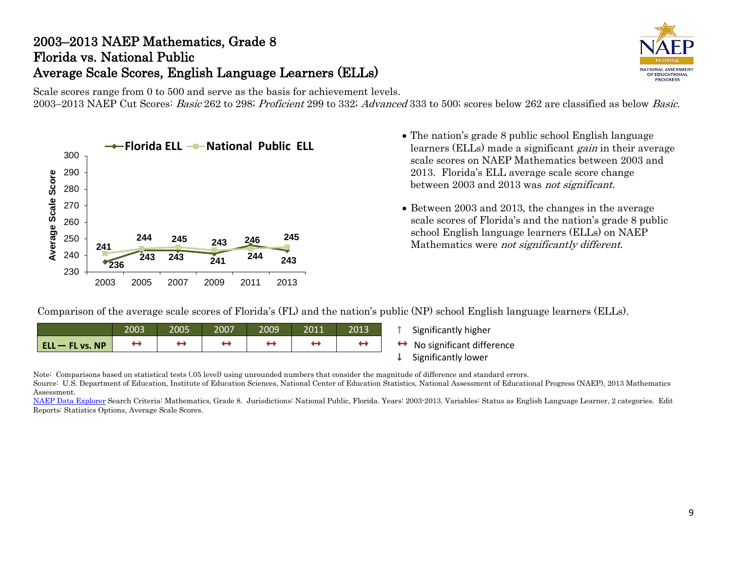## 2003–2013 NAEP Mathematics, Grade 8 Florida vs. National Public Average Scale Scores, English Language Learners (ELLs)



Scale scores range from 0 to 500 and serve as the basis for achievement levels. 2003–2013 NAEP Cut Scores: Basic 262 to 298; Proficient 299 to 332; Advanced 333 to 500; scores below 262 are classified as below Basic.



- **Florida ELL National Public ELL** The nation's grade 8 public school English language learners (ELLs) made a significant gain in their average scale scores on NAEP Mathematics between 2003 and 2013. Florida's ELL average scale score change between 2003 and 2013 was not significant.
	- Between 2003 and 2013, the changes in the average scale scores of Florida's and the nation's grade 8 public school English language learners (ELLs) on NAEP Mathematics were not significantly different.

Comparison of the average scale scores of Florida's (FL) and the nation's public (NP) school English language learners (ELLs).

|                        | 2003 | 2005 | 2007 | 2009 | 2011 | 2013 |
|------------------------|------|------|------|------|------|------|
| <b>ELL - FL vs. NP</b> |      |      |      |      |      |      |

- **1** Significantly higher
- $\leftrightarrow$  No significant difference<br>  $\downarrow$  Significantly lower
- 

Note: Comparisons based on statistical tests (.05 level) using unrounded numbers that consider the magnitude of difference and standard errors. Source: U.S. Department of Education, Institute of Education Sciences, National Center of Education Statistics, National Assessment of Educational Progress (NAEP), 2013 Mathematics Assessment.

[NAEP Data Explorer](http://nces.ed.gov/nationsreportcard/naepdata/) Search Criteria: Mathematics, Grade 8. Jurisdictions: National Public, Florida. Years: 2003-2013. Variables: Status as English Language Learner, 2 categories. Edit Reports: Statistics Options, Average Scale Scores.